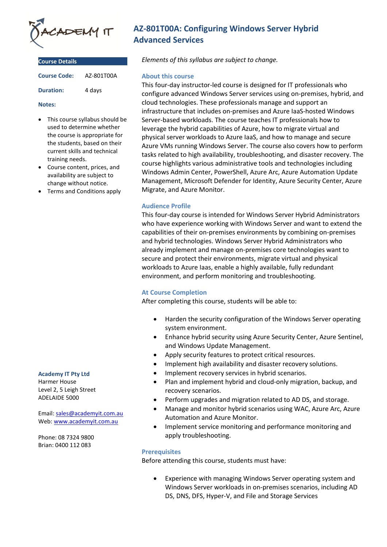

| <b>Course Details</b> |            |
|-----------------------|------------|
| <b>Course Code:</b>   | A7-801T00A |
| <b>Duration:</b>      | 4 days     |

#### **Notes:**

- This course syllabus should be used to determine whether the course is appropriate for the students, based on their current skills and technical training needs.
- Course content, prices, and availability are subject to change without notice.
- Terms and Conditions apply

#### **Academy IT Pty Ltd**

Harmer House Level 2, 5 Leigh Street ADELAIDE 5000

Email: [sales@academyit.com.au](mailto:sales@academyit.com.au) Web: [www.academyit.com.au](http://www.academyit.com.au/)

Phone: 08 7324 9800 Brian: 0400 112 083

# **AZ-801T00A: Configuring Windows Server Hybrid Advanced Services**

*Elements of this syllabus are subject to change.*

### **About this course**

This four-day instructor-led course is designed for IT professionals who configure advanced Windows Server services using on-premises, hybrid, and cloud technologies. These professionals manage and support an infrastructure that includes on-premises and Azure IaaS-hosted Windows Server-based workloads. The course teaches IT professionals how to leverage the hybrid capabilities of Azure, how to migrate virtual and physical server workloads to Azure IaaS, and how to manage and secure Azure VMs running Windows Server. The course also covers how to perform tasks related to high availability, troubleshooting, and disaster recovery. The course highlights various administrative tools and technologies including Windows Admin Center, PowerShell, Azure Arc, Azure Automation Update Management, Microsoft Defender for Identity, Azure Security Center, Azure Migrate, and Azure Monitor.

## **Audience Profile**

This four-day course is intended for Windows Server Hybrid Administrators who have experience working with Windows Server and want to extend the capabilities of their on-premises environments by combining on-premises and hybrid technologies. Windows Server Hybrid Administrators who already implement and manage on-premises core technologies want to secure and protect their environments, migrate virtual and physical workloads to Azure Iaas, enable a highly available, fully redundant environment, and perform monitoring and troubleshooting.

## **At Course Completion**

After completing this course, students will be able to:

- Harden the security configuration of the Windows Server operating system environment.
- Enhance hybrid security using Azure Security Center, Azure Sentinel, and Windows Update Management.
- Apply security features to protect critical resources.
- Implement high availability and disaster recovery solutions.
- Implement recovery services in hybrid scenarios.
- Plan and implement hybrid and cloud-only migration, backup, and recovery scenarios.
- Perform upgrades and migration related to AD DS, and storage.
- Manage and monitor hybrid scenarios using WAC, Azure Arc, Azure Automation and Azure Monitor.
- Implement service monitoring and performance monitoring and apply troubleshooting.

## **Prerequisites**

Before attending this course, students must have:

• Experience with managing Windows Server operating system and Windows Server workloads in on-premises scenarios, including AD DS, DNS, DFS, Hyper-V, and File and Storage Services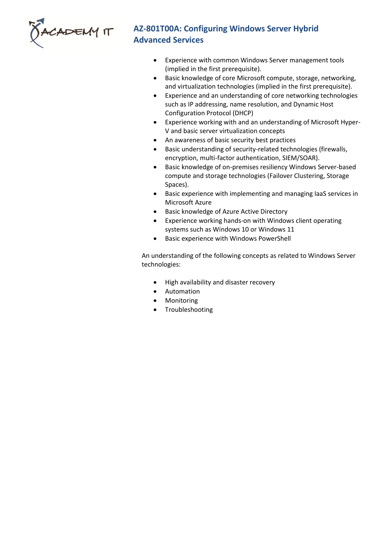

# **AZ-801T00A: Configuring Windows Server Hybrid Advanced Services**

- Experience with common Windows Server management tools (implied in the first prerequisite).
- Basic knowledge of core Microsoft compute, storage, networking, and virtualization technologies (implied in the first prerequisite).
- Experience and an understanding of core networking technologies such as IP addressing, name resolution, and Dynamic Host Configuration Protocol (DHCP)
- Experience working with and an understanding of Microsoft Hyper-V and basic server virtualization concepts
- An awareness of basic security best practices
- Basic understanding of security-related technologies (firewalls, encryption, multi-factor authentication, SIEM/SOAR).
- Basic knowledge of on-premises resiliency Windows Server-based compute and storage technologies (Failover Clustering, Storage Spaces).
- Basic experience with implementing and managing IaaS services in Microsoft Azure
- Basic knowledge of Azure Active Directory
- Experience working hands-on with Windows client operating systems such as Windows 10 or Windows 11
- Basic experience with Windows PowerShell

An understanding of the following concepts as related to Windows Server technologies:

- High availability and disaster recovery
- Automation
- Monitoring
- **Troubleshooting**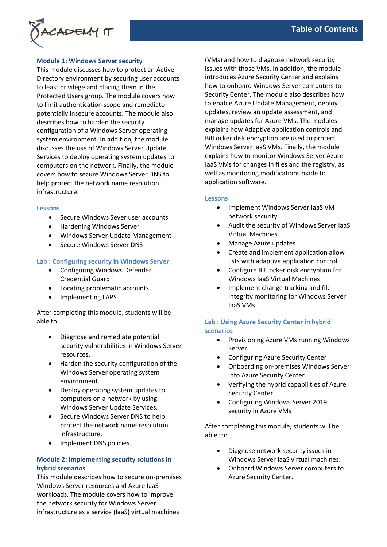# **Module 1: Windows Server security**

This module discusses how to protect an Active Directory environment by securing user accounts to least privilege and placing them in the Protected Users group. The module covers how to limit authentication scope and remediate potentially insecure accounts. The module also describes how to harden the security configuration of a Windows Server operating system environment. In addition, the module discusses the use of Windows Server Update Services to deploy operating system updates to computers on the network. Finally, the module covers how to secure Windows Server DNS to help protect the network name resolution infrastructure.

#### **Lessons**

- Secure Windows Sever user accounts
- Hardening Windows Server
- Windows Server Update Management
- Secure Windows Server DNS

### **Lab : Configuring security in Windows Server**

- Configuring Windows Defender Credential Guard
- Locating problematic accounts
- Implementing LAPS

After completing this module, students will be able to:

- Diagnose and remediate potential security vulnerabilities in Windows Server resources.
- Harden the security configuration of the Windows Server operating system environment.
- Deploy operating system updates to computers on a network by using Windows Server Update Services.
- Secure Windows Server DNS to help protect the network name resolution infrastructure.
- Implement DNS policies.

# **Module 2: Implementing security solutions in hybrid scenarios**

This module describes how to secure on-premises Windows Server resources and Azure IaaS workloads. The module covers how to improve the network security for Windows Server infrastructure as a service (IaaS) virtual machines

(VMs) and how to diagnose network security issues with those VMs. In addition, the module introduces Azure Security Center and explains how to onboard Windows Server computers to Security Center. The module also describes how to enable Azure Update Management, deploy updates, review an update assessment, and manage updates for Azure VMs. The modules explains how Adaptive application controls and BitLocker disk encryption are used to protect Windows Server IaaS VMs. Finally, the module explains how to monitor Windows Server Azure IaaS VMs for changes in files and the registry, as well as monitoring modifications made to application software.

### **Lessons**

- Implement Windows Server IaaS VM network security.
- Audit the security of Windows Server IaaS Virtual Machines
- Manage Azure updates
- Create and implement application allow lists with adaptive application control
- Configure BitLocker disk encryption for Windows IaaS Virtual Machines
- Implement change tracking and file integrity monitoring for Windows Server IaaS VMs

# **Lab : Using Azure Security Center in hybrid scenarios**

- Provisioning Azure VMs running Windows Server
- Configuring Azure Security Center
- Onboarding on-premises Windows Server into Azure Security Center
- Verifying the hybrid capabilities of Azure Security Center
- Configuring Windows Server 2019 security in Azure VMs

After completing this module, students will be able to:

- Diagnose network security issues in Windows Server IaaS virtual machines.
- Onboard Windows Server computers to Azure Security Center.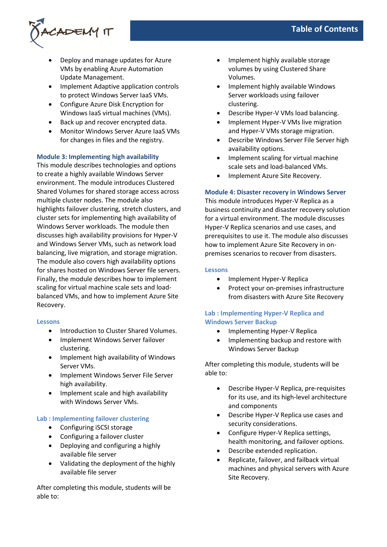

- Deploy and manage updates for Azure VMs by enabling Azure Automation Update Management.
- Implement Adaptive application controls to protect Windows Server IaaS VMs.
- Configure Azure Disk Encryption for Windows IaaS virtual machines (VMs).
- Back up and recover encrypted data.
- Monitor Windows Server Azure IaaS VMs for changes in files and the registry.

# **Module 3: Implementing high availability**

This module describes technologies and options to create a highly available Windows Server environment. The module introduces Clustered Shared Volumes for shared storage access across multiple cluster nodes. The module also highlights failover clustering, stretch clusters, and cluster sets for implementing high availability of Windows Server workloads. The module then discusses high availability provisions for Hyper-V and Windows Server VMs, such as network load balancing, live migration, and storage migration. The module also covers high availability options for shares hosted on Windows Server file servers. Finally, the module describes how to implement scaling for virtual machine scale sets and loadbalanced VMs, and how to implement Azure Site Recovery.

## **Lessons**

- Introduction to Cluster Shared Volumes.
- Implement Windows Server failover clustering.
- Implement high availability of Windows Server VMs.
- Implement Windows Server File Server high availability.
- Implement scale and high availability with Windows Server VMs.

# **Lab : Implementing failover clustering**

- Configuring iSCSI storage
- Configuring a failover cluster
- Deploying and configuring a highly available file server
- Validating the deployment of the highly available file server

After completing this module, students will be able to:

- Implement highly available storage volumes by using Clustered Share Volumes.
- Implement highly available Windows Server workloads using failover clustering.
- Describe Hyper-V VMs load balancing.
- Implement Hyper-V VMs live migration and Hyper-V VMs storage migration.
- Describe Windows Server File Server high availability options.
- Implement scaling for virtual machine scale sets and load-balanced VMs.
- Implement Azure Site Recovery.

## **Module 4: Disaster recovery in Windows Server**

This module introduces Hyper-V Replica as a business continuity and disaster recovery solution for a virtual environment. The module discusses Hyper-V Replica scenarios and use cases, and prerequisites to use it. The module also discusses how to implement Azure Site Recovery in onpremises scenarios to recover from disasters.

### **Lessons**

- Implement Hyper-V Replica
- Protect your on-premises infrastructure from disasters with Azure Site Recovery

# **Lab : Implementing Hyper-V Replica and Windows Server Backup**

- Implementing Hyper-V Replica
- Implementing backup and restore with Windows Server Backup

After completing this module, students will be able to:

- Describe Hyper-V Replica, pre-requisites for its use, and its high-level architecture and components
- Describe Hyper-V Replica use cases and security considerations.
- Configure Hyper-V Replica settings, health monitoring, and failover options.
- Describe extended replication.
- Replicate, failover, and failback virtual machines and physical servers with Azure Site Recovery.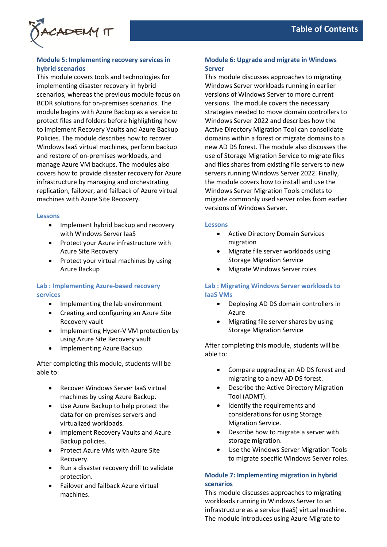

# **Module 5: Implementing recovery services in hybrid scenarios**

This module covers tools and technologies for implementing disaster recovery in hybrid scenarios, whereas the previous module focus on BCDR solutions for on-premises scenarios. The module begins with Azure Backup as a service to protect files and folders before highlighting how to implement Recovery Vaults and Azure Backup Policies. The module describes how to recover Windows IaaS virtual machines, perform backup and restore of on-premises workloads, and manage Azure VM backups. The modules also covers how to provide disaster recovery for Azure infrastructure by managing and orchestrating replication, failover, and failback of Azure virtual machines with Azure Site Recovery.

#### **Lessons**

- Implement hybrid backup and recovery with Windows Server IaaS
- Protect your Azure infrastructure with Azure Site Recovery
- Protect your virtual machines by using Azure Backup

## **Lab : Implementing Azure-based recovery services**

- Implementing the lab environment
- Creating and configuring an Azure Site Recovery vault
- Implementing Hyper-V VM protection by using Azure Site Recovery vault
- Implementing Azure Backup

After completing this module, students will be able to:

- Recover Windows Server IaaS virtual machines by using Azure Backup.
- Use Azure Backup to help protect the data for on-premises servers and virtualized workloads.
- Implement Recovery Vaults and Azure Backup policies.
- Protect Azure VMs with Azure Site Recovery.
- Run a disaster recovery drill to validate protection.
- Failover and failback Azure virtual machines.

# **Module 6: Upgrade and migrate in Windows Server**

This module discusses approaches to migrating Windows Server workloads running in earlier versions of Windows Server to more current versions. The module covers the necessary strategies needed to move domain controllers to Windows Server 2022 and describes how the Active Directory Migration Tool can consolidate domains within a forest or migrate domains to a new AD DS forest. The module also discusses the use of Storage Migration Service to migrate files and files shares from existing file servers to new servers running Windows Server 2022. Finally, the module covers how to install and use the Windows Server Migration Tools cmdlets to migrate commonly used server roles from earlier versions of Windows Server.

### **Lessons**

- Active Directory Domain Services migration
- Migrate file server workloads using Storage Migration Service
- Migrate Windows Server roles

# **Lab : Migrating Windows Server workloads to IaaS VMs**

- Deploying AD DS domain controllers in Azure
- Migrating file server shares by using Storage Migration Service

After completing this module, students will be able to:

- Compare upgrading an AD DS forest and migrating to a new AD DS forest.
- Describe the Active Directory Migration Tool (ADMT).
- Identify the requirements and considerations for using Storage Migration Service.
- Describe how to migrate a server with storage migration.
- Use the Windows Server Migration Tools to migrate specific Windows Server roles.

# **Module 7: Implementing migration in hybrid scenarios**

This module discusses approaches to migrating workloads running in Windows Server to an infrastructure as a service (IaaS) virtual machine. The module introduces using Azure Migrate to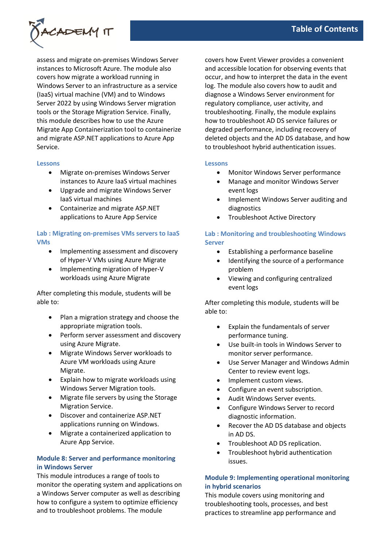

assess and migrate on-premises Windows Server instances to Microsoft Azure. The module also covers how migrate a workload running in Windows Server to an infrastructure as a service (IaaS) virtual machine (VM) and to Windows Server 2022 by using Windows Server migration tools or the Storage Migration Service. Finally, this module describes how to use the Azure Migrate App Containerization tool to containerize and migrate ASP.NET applications to Azure App Service.

### **Lessons**

- Migrate on-premises Windows Server instances to Azure IaaS virtual machines
- Upgrade and migrate Windows Server IaaS virtual machines
- Containerize and migrate ASP.NET applications to Azure App Service

# **Lab : Migrating on-premises VMs servers to IaaS VMs**

- Implementing assessment and discovery of Hyper-V VMs using Azure Migrate
- Implementing migration of Hyper-V workloads using Azure Migrate

After completing this module, students will be able to:

- Plan a migration strategy and choose the appropriate migration tools.
- Perform server assessment and discovery using Azure Migrate.
- Migrate Windows Server workloads to Azure VM workloads using Azure Migrate.
- Explain how to migrate workloads using Windows Server Migration tools.
- Migrate file servers by using the Storage Migration Service.
- Discover and containerize ASP.NET applications running on Windows.
- Migrate a containerized application to Azure App Service.

# **Module 8: Server and performance monitoring in Windows Server**

This module introduces a range of tools to monitor the operating system and applications on a Windows Server computer as well as describing how to configure a system to optimize efficiency and to troubleshoot problems. The module

covers how Event Viewer provides a convenient and accessible location for observing events that occur, and how to interpret the data in the event log. The module also covers how to audit and diagnose a Windows Server environment for regulatory compliance, user activity, and troubleshooting. Finally, the module explains how to troubleshoot AD DS service failures or degraded performance, including recovery of deleted objects and the AD DS database, and how to troubleshoot hybrid authentication issues.

### **Lessons**

- Monitor Windows Server performance
- Manage and monitor Windows Server event logs
- Implement Windows Server auditing and diagnostics
- Troubleshoot Active Directory

# **Lab : Monitoring and troubleshooting Windows Server**

- Establishing a performance baseline
- Identifying the source of a performance problem
- Viewing and configuring centralized event logs

After completing this module, students will be able to:

- Explain the fundamentals of server performance tuning.
- Use built-in tools in Windows Server to monitor server performance.
- Use Server Manager and Windows Admin Center to review event logs.
- Implement custom views.
- Configure an event subscription.
- Audit Windows Server events.
- Configure Windows Server to record diagnostic information.
- Recover the AD DS database and objects in AD DS.
- Troubleshoot AD DS replication.
- Troubleshoot hybrid authentication issues.

# **Module 9: Implementing operational monitoring in hybrid scenarios**

This module covers using monitoring and troubleshooting tools, processes, and best practices to streamline app performance and